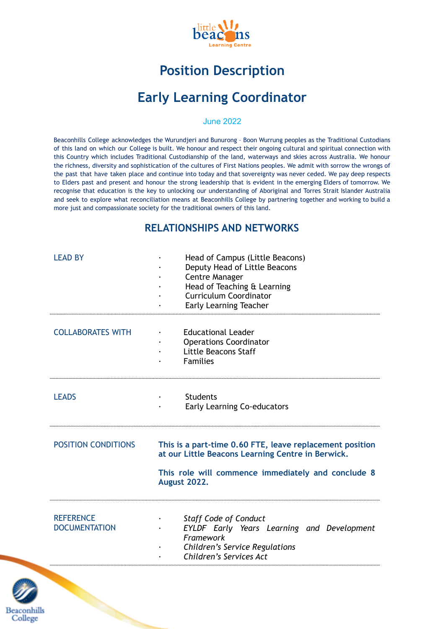

# **Position Description**

# **Early Learning Coordinator**

#### June 2022

Beaconhills College acknowledges the Wurundjeri and Bunurong – Boon Wurrung peoples as the Traditional Custodians of this land on which our College is built. We honour and respect their ongoing cultural and spiritual connection with this Country which includes Traditional Custodianship of the land, waterways and skies across Australia. We honour the richness, diversity and sophistication of the cultures of First Nations peoples. We admit with sorrow the wrongs of the past that have taken place and continue into today and that sovereignty was never ceded. We pay deep respects to Elders past and present and honour the strong leadership that is evident in the emerging Elders of tomorrow. We recognise that education is the key to unlocking our understanding of Aboriginal and Torres Strait Islander Australia and seek to explore what reconciliation means at Beaconhills College by partnering together and working to build a more just and compassionate society for the traditional owners of this land.

#### **RELATIONSHIPS AND NETWORKS**

| <b>LEAD BY</b>                           | Head of Campus (Little Beacons)<br>Deputy Head of Little Beacons<br><b>Centre Manager</b><br>Head of Teaching & Learning<br><b>Curriculum Coordinator</b><br><b>Early Learning Teacher</b> |
|------------------------------------------|--------------------------------------------------------------------------------------------------------------------------------------------------------------------------------------------|
| <b>COLLABORATES WITH</b>                 | <b>Educational Leader</b><br><b>Operations Coordinator</b><br>Little Beacons Staff<br><b>Families</b>                                                                                      |
| <b>LEADS</b>                             | <b>Students</b><br><b>Early Learning Co-educators</b>                                                                                                                                      |
| <b>POSITION CONDITIONS</b>               | This is a part-time 0.60 FTE, leave replacement position<br>at our Little Beacons Learning Centre in Berwick.<br>This role will commence immediately and conclude 8<br><b>August 2022.</b> |
| <b>REFERENCE</b><br><b>DOCUMENTATION</b> | <b>Staff Code of Conduct</b><br>EYLDF Early Years Learning and Development<br>Framework<br><b>Children's Service Regulations</b><br>Children's Services Act                                |

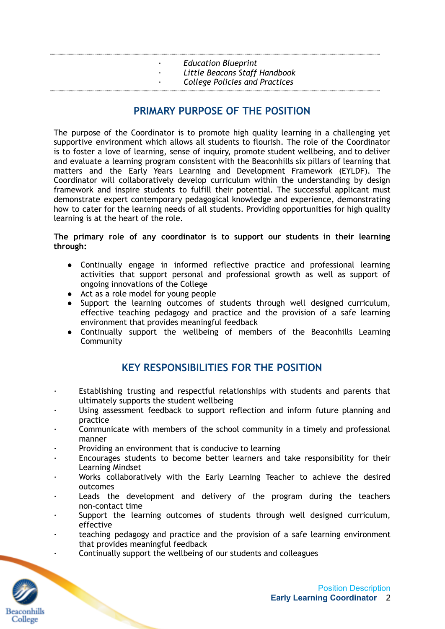- *· Education Blueprint*
- *· Little Beacons Staff Handbook*
- *· College Policies and Practices*

## **PRIMARY PURPOSE OF THE POSITION**

The purpose of the Coordinator is to promote high quality learning in a challenging yet supportive environment which allows all students to flourish. The role of the Coordinator is to foster a love of learning, sense of inquiry, promote student wellbeing, and to deliver and evaluate a learning program consistent with the Beaconhills six pillars of learning that matters and the Early Years Learning and Development Framework (EYLDF). The Coordinator will collaboratively develop curriculum within the understanding by design framework and inspire students to fulfill their potential. The successful applicant must demonstrate expert contemporary pedagogical knowledge and experience, demonstrating how to cater for the learning needs of all students. Providing opportunities for high quality learning is at the heart of the role.

#### **The primary role of any coordinator is to support our students in their learning through:**

- Continually engage in informed reflective practice and professional learning activities that support personal and professional growth as well as support of ongoing innovations of the College
- Act as a role model for young people
- Support the learning outcomes of students through well designed curriculum, effective teaching pedagogy and practice and the provision of a safe learning environment that provides meaningful feedback
- Continually support the wellbeing of members of the Beaconhills Learning **Community**

## **KEY RESPONSIBILITIES FOR THE POSITION**

- Establishing trusting and respectful relationships with students and parents that ultimately supports the student wellbeing
- Using assessment feedback to support reflection and inform future planning and practice
- · Communicate with members of the school community in a timely and professional manner
- Providing an environment that is conducive to learning
- Encourages students to become better learners and take responsibility for their Learning Mindset
- Works collaboratively with the Early Learning Teacher to achieve the desired outcomes
- Leads the development and delivery of the program during the teachers non-contact time
- Support the learning outcomes of students through well designed curriculum, effective
- teaching pedagogy and practice and the provision of a safe learning environment that provides meaningful feedback
	- · Continually support the wellbeing of our students and colleagues

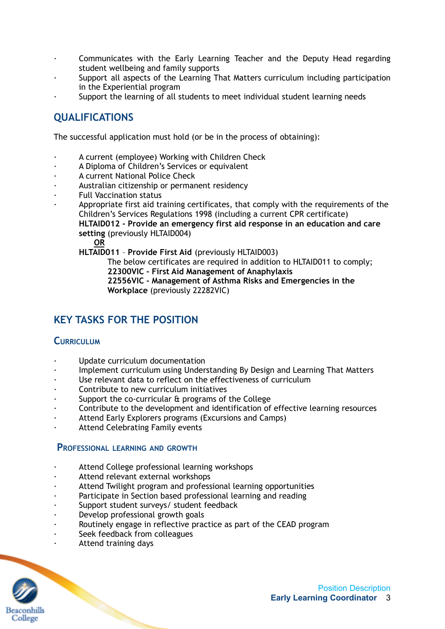- Communicates with the Early Learning Teacher and the Deputy Head regarding student wellbeing and family supports
- Support all aspects of the Learning That Matters curriculum including participation in the Experiential program
- Support the learning of all students to meet individual student learning needs

# **QUALIFICATIONS**

The successful application must hold (or be in the process of obtaining):

- A current (employee) Working with Children Check
- A Diploma of Children's Services or equivalent
- A current National Police Check
- Australian citizenship or permanent residency
- · Full Vaccination status
- Appropriate first aid training certificates, that comply with the requirements of the Children's Services Regulations 1998 (including a current CPR certificate) **HLTAID012 - Provide an emergency first aid response in an education and care setting** (previously HLTAID004)

**OR**

**HLTAID011** – **Provide First Aid** (previously HLTAID003)

The below certificates are required in addition to HLTAID011 to comply; **22300VIC - First Aid Management of Anaphylaxis**

**22556VIC - Management of Asthma Risks and Emergencies in the Workplace** (previously 22282VIC)

# **KEY TASKS FOR THE POSITION**

#### **CURRICULUM**

- Update curriculum documentation
- Implement curriculum using Understanding By Design and Learning That Matters
- · Use relevant data to reflect on the effectiveness of curriculum
- · Contribute to new curriculum initiatives
- Support the co-curricular & programs of the College
- · Contribute to the development and identification of effective learning resources
- Attend Early Explorers programs (Excursions and Camps)
- Attend Celebrating Family events

#### **PROFESSIONAL LEARNING AND GROWTH**

- Attend College professional learning workshops
- Attend relevant external workshops
- Attend Twilight program and professional learning opportunities
- Participate in Section based professional learning and reading
- · Support student surveys/ student feedback
- · Develop professional growth goals
- Routinely engage in reflective practice as part of the CEAD program
- Seek feedback from colleagues
- · Attend training days

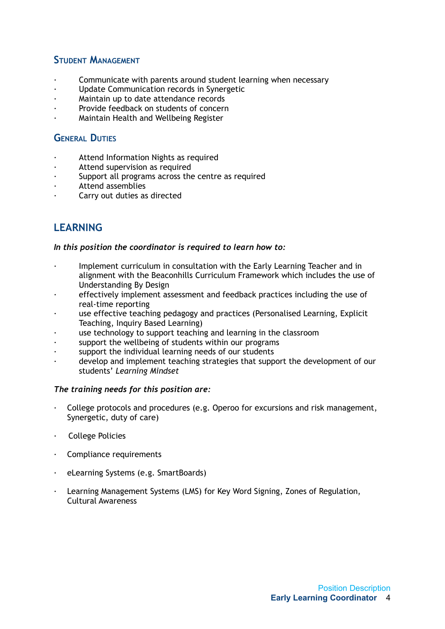### **STUDENT MANAGEMENT**

- Communicate with parents around student learning when necessary
- · Update Communication records in Synergetic
- Maintain up to date attendance records
- Provide feedback on students of concern
- · Maintain Health and Wellbeing Register

## **GENERAL DUTIES**

- · Attend Information Nights as required
- Attend supervision as required
- Support all programs across the centre as required
- · Attend assemblies
- Carry out duties as directed

# **LEARNING**

#### *In this position the coordinator is required to learn how to:*

- Implement curriculum in consultation with the Early Learning Teacher and in alignment with the Beaconhills Curriculum Framework which includes the use of Understanding By Design
- effectively implement assessment and feedback practices including the use of real-time reporting
- use effective teaching pedagogy and practices (Personalised Learning, Explicit Teaching, Inquiry Based Learning)
- use technology to support teaching and learning in the classroom
- support the wellbeing of students within our programs
- support the individual learning needs of our students
- develop and implement teaching strategies that support the development of our students' *Learning Mindset*

#### *The training needs for this position are:*

- · College protocols and procedures (e.g. Operoo for excursions and risk management, Synergetic, duty of care)
- **College Policies**
- · Compliance requirements
- · eLearning Systems (e.g. SmartBoards)
- · Learning Management Systems (LMS) for Key Word Signing, Zones of Regulation, Cultural Awareness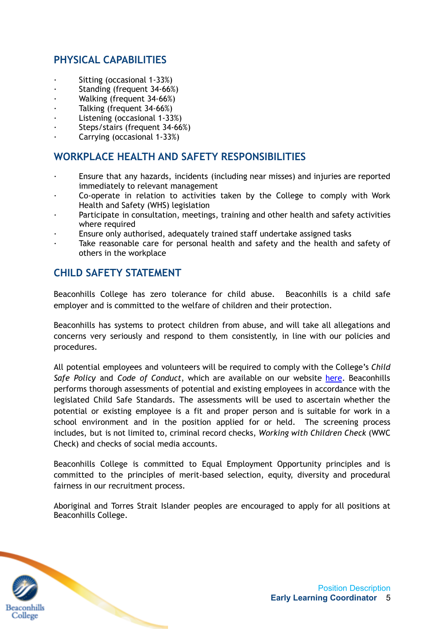# **PHYSICAL CAPABILITIES**

- · Sitting (occasional 1-33%)
- · Standing (frequent 34-66%)
- Walking (frequent 34-66%)
- Talking (frequent 34-66%)
- Listening (occasional 1-33%)
- · Steps/stairs (frequent 34-66%)
- · Carrying (occasional 1-33%)

## **WORKPLACE HEALTH AND SAFETY RESPONSIBILITIES**

- · Ensure that any hazards, incidents (including near misses) and injuries are reported immediately to relevant management
- · Co-operate in relation to activities taken by the College to comply with Work Health and Safety (WHS) legislation
- Participate in consultation, meetings, training and other health and safety activities where required
- Ensure only authorised, adequately trained staff undertake assigned tasks
- Take reasonable care for personal health and safety and the health and safety of others in the workplace

# **CHILD SAFETY STATEMENT**

Beaconhills College has zero tolerance for child abuse. Beaconhills is a child safe employer and is committed to the welfare of children and their protection.

Beaconhills has systems to protect children from abuse, and will take all allegations and concerns very seriously and respond to them consistently, in line with our policies and procedures.

All potential employees and volunteers will be required to comply with the College's *Child Safe Policy* and *Code of Conduct*, which are available on our website [here](https://www.beaconhills.vic.edu.au/policies/). Beaconhills performs thorough assessments of potential and existing employees in accordance with the legislated Child Safe Standards. The assessments will be used to ascertain whether the potential or existing employee is a fit and proper person and is suitable for work in a school environment and in the position applied for or held. The screening process includes, but is not limited to, criminal record checks, *Working with Children Check* (WWC Check) and checks of social media accounts.

Beaconhills College is committed to Equal Employment Opportunity principles and is committed to the principles of merit-based selection, equity, diversity and procedural fairness in our recruitment process.

Aboriginal and Torres Strait Islander peoples are encouraged to apply for all positions at Beaconhills College.